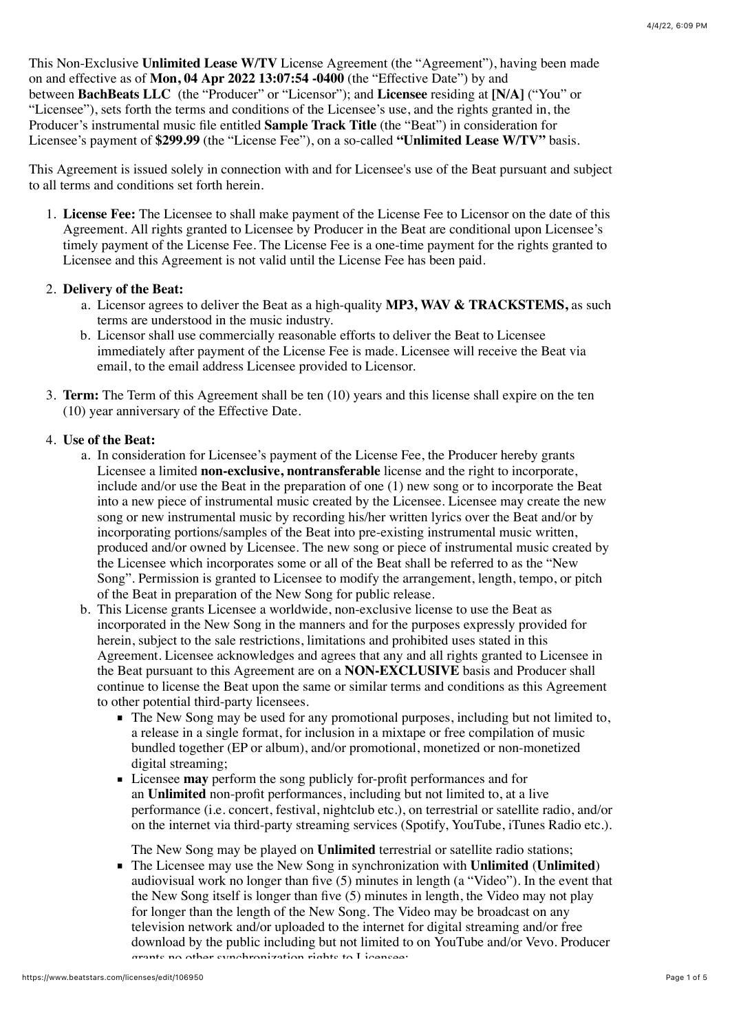This Non-Exclusive **Unlimited Lease W/TV** License Agreement (the "Agreement"), having been made on and effective as of **Mon, 04 Apr 2022 13:07:54 -0400** (the "Effective Date") by and between **BachBeats LLC** (the "Producer" or "Licensor"); and **Licensee** residing at **[N/A]** ("You" or "Licensee"), sets forth the terms and conditions of the Licensee's use, and the rights granted in, the Producer's instrumental music file entitled **Sample Track Title** (the "Beat") in consideration for Licensee's payment of **\$299.99** (the "License Fee"), on a so-called **"Unlimited Lease W/TV"** basis.

This Agreement is issued solely in connection with and for Licensee's use of the Beat pursuant and subject to all terms and conditions set forth herein.

1. **License Fee:** The Licensee to shall make payment of the License Fee to Licensor on the date of this Agreement. All rights granted to Licensee by Producer in the Beat are conditional upon Licensee's timely payment of the License Fee. The License Fee is a one-time payment for the rights granted to Licensee and this Agreement is not valid until the License Fee has been paid.

### 2. **Delivery of the Beat:**

- a. Licensor agrees to deliver the Beat as a high-quality **MP3, WAV & TRACKSTEMS,** as such terms are understood in the music industry.
- b. Licensor shall use commercially reasonable efforts to deliver the Beat to Licensee immediately after payment of the License Fee is made. Licensee will receive the Beat via email, to the email address Licensee provided to Licensor.
- 3. **Term:** The Term of this Agreement shall be ten (10) years and this license shall expire on the ten (10) year anniversary of the Effective Date.

### 4. **Use of the Beat:**

- a. In consideration for Licensee's payment of the License Fee, the Producer hereby grants Licensee a limited **non-exclusive, nontransferable** license and the right to incorporate, include and/or use the Beat in the preparation of one (1) new song or to incorporate the Beat into a new piece of instrumental music created by the Licensee. Licensee may create the new song or new instrumental music by recording his/her written lyrics over the Beat and/or by incorporating portions/samples of the Beat into pre-existing instrumental music written, produced and/or owned by Licensee. The new song or piece of instrumental music created by the Licensee which incorporates some or all of the Beat shall be referred to as the "New Song". Permission is granted to Licensee to modify the arrangement, length, tempo, or pitch of the Beat in preparation of the New Song for public release.
- b. This License grants Licensee a worldwide, non-exclusive license to use the Beat as incorporated in the New Song in the manners and for the purposes expressly provided for herein, subject to the sale restrictions, limitations and prohibited uses stated in this Agreement. Licensee acknowledges and agrees that any and all rights granted to Licensee in the Beat pursuant to this Agreement are on a **NON-EXCLUSIVE** basis and Producer shall continue to license the Beat upon the same or similar terms and conditions as this Agreement to other potential third-party licensees.
	- The New Song may be used for any promotional purposes, including but not limited to, a release in a single format, for inclusion in a mixtape or free compilation of music bundled together (EP or album), and/or promotional, monetized or non-monetized digital streaming;
	- Licensee **may** perform the song publicly for-profit performances and for an **Unlimited** non-profit performances, including but not limited to, at a live performance (i.e. concert, festival, nightclub etc.), on terrestrial or satellite radio, and/or on the internet via third-party streaming services (Spotify, YouTube, iTunes Radio etc.).

The New Song may be played on **Unlimited** terrestrial or satellite radio stations;

The Licensee may use the New Song in synchronization with **Unlimited** (**Unlimited**) audiovisual work no longer than five (5) minutes in length (a "Video"). In the event that the New Song itself is longer than five (5) minutes in length, the Video may not play for longer than the length of the New Song. The Video may be broadcast on any television network and/or uploaded to the internet for digital streaming and/or free download by the public including but not limited to on YouTube and/or Vevo. Producer grants no other synchronization rights to Licensee;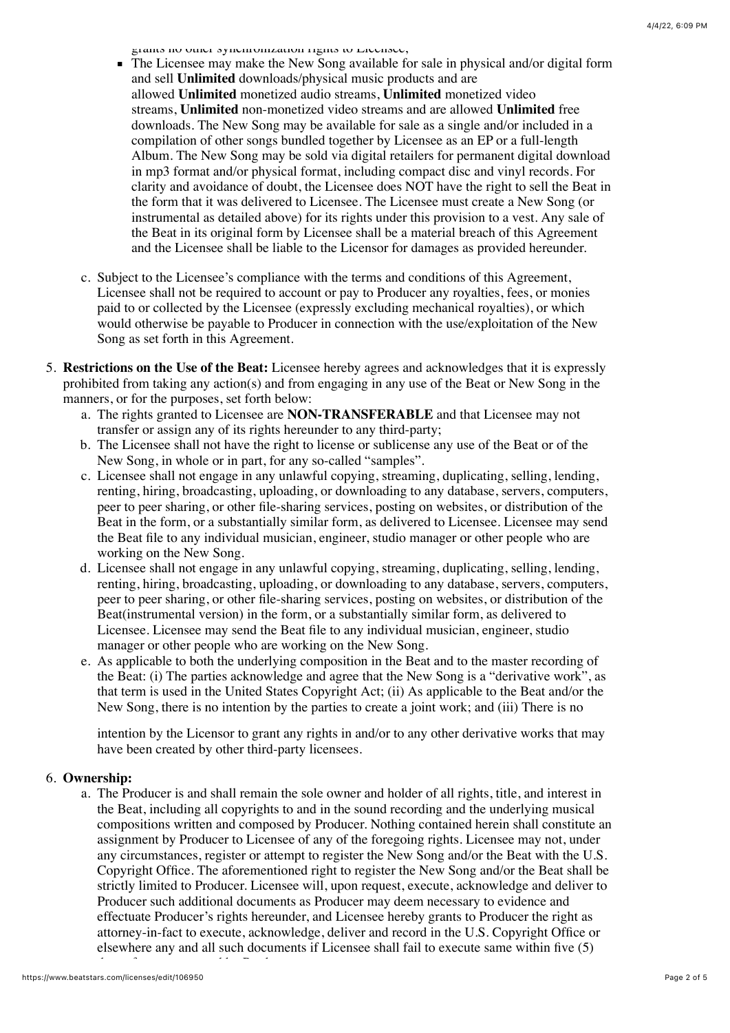grants no other synchronization rights to Licensee;

- The Licensee may make the New Song available for sale in physical and/or digital form and sell **Unlimited** downloads/physical music products and are allowed **Unlimited** monetized audio streams, **Unlimited** monetized video streams, **Unlimited** non-monetized video streams and are allowed **Unlimited** free downloads. The New Song may be available for sale as a single and/or included in a compilation of other songs bundled together by Licensee as an EP or a full-length Album. The New Song may be sold via digital retailers for permanent digital download in mp3 format and/or physical format, including compact disc and vinyl records. For clarity and avoidance of doubt, the Licensee does NOT have the right to sell the Beat in the form that it was delivered to Licensee. The Licensee must create a New Song (or instrumental as detailed above) for its rights under this provision to a vest. Any sale of the Beat in its original form by Licensee shall be a material breach of this Agreement and the Licensee shall be liable to the Licensor for damages as provided hereunder.
- c. Subject to the Licensee's compliance with the terms and conditions of this Agreement, Licensee shall not be required to account or pay to Producer any royalties, fees, or monies paid to or collected by the Licensee (expressly excluding mechanical royalties), or which would otherwise be payable to Producer in connection with the use/exploitation of the New Song as set forth in this Agreement.
- 5. **Restrictions on the Use of the Beat:** Licensee hereby agrees and acknowledges that it is expressly prohibited from taking any action(s) and from engaging in any use of the Beat or New Song in the manners, or for the purposes, set forth below:
	- a. The rights granted to Licensee are **NON-TRANSFERABLE** and that Licensee may not transfer or assign any of its rights hereunder to any third-party;
	- b. The Licensee shall not have the right to license or sublicense any use of the Beat or of the New Song, in whole or in part, for any so-called "samples".
	- c. Licensee shall not engage in any unlawful copying, streaming, duplicating, selling, lending, renting, hiring, broadcasting, uploading, or downloading to any database, servers, computers, peer to peer sharing, or other file-sharing services, posting on websites, or distribution of the Beat in the form, or a substantially similar form, as delivered to Licensee. Licensee may send the Beat file to any individual musician, engineer, studio manager or other people who are working on the New Song.
	- d. Licensee shall not engage in any unlawful copying, streaming, duplicating, selling, lending, renting, hiring, broadcasting, uploading, or downloading to any database, servers, computers, peer to peer sharing, or other file-sharing services, posting on websites, or distribution of the Beat(instrumental version) in the form, or a substantially similar form, as delivered to Licensee. Licensee may send the Beat file to any individual musician, engineer, studio manager or other people who are working on the New Song.
	- e. As applicable to both the underlying composition in the Beat and to the master recording of the Beat: (i) The parties acknowledge and agree that the New Song is a "derivative work", as that term is used in the United States Copyright Act; (ii) As applicable to the Beat and/or the New Song, there is no intention by the parties to create a joint work; and (iii) There is no

intention by the Licensor to grant any rights in and/or to any other derivative works that may have been created by other third-party licensees.

# 6. **Ownership:**

a. The Producer is and shall remain the sole owner and holder of all rights, title, and interest in the Beat, including all copyrights to and in the sound recording and the underlying musical compositions written and composed by Producer. Nothing contained herein shall constitute an assignment by Producer to Licensee of any of the foregoing rights. Licensee may not, under any circumstances, register or attempt to register the New Song and/or the Beat with the U.S. Copyright Office. The aforementioned right to register the New Song and/or the Beat shall be strictly limited to Producer. Licensee will, upon request, execute, acknowledge and deliver to Producer such additional documents as Producer may deem necessary to evidence and effectuate Producer's rights hereunder, and Licensee hereby grants to Producer the right as attorney-in-fact to execute, acknowledge, deliver and record in the U.S. Copyright Office or elsewhere any and all such documents if Licensee shall fail to execute same within five (5)

days after so requested by Producer.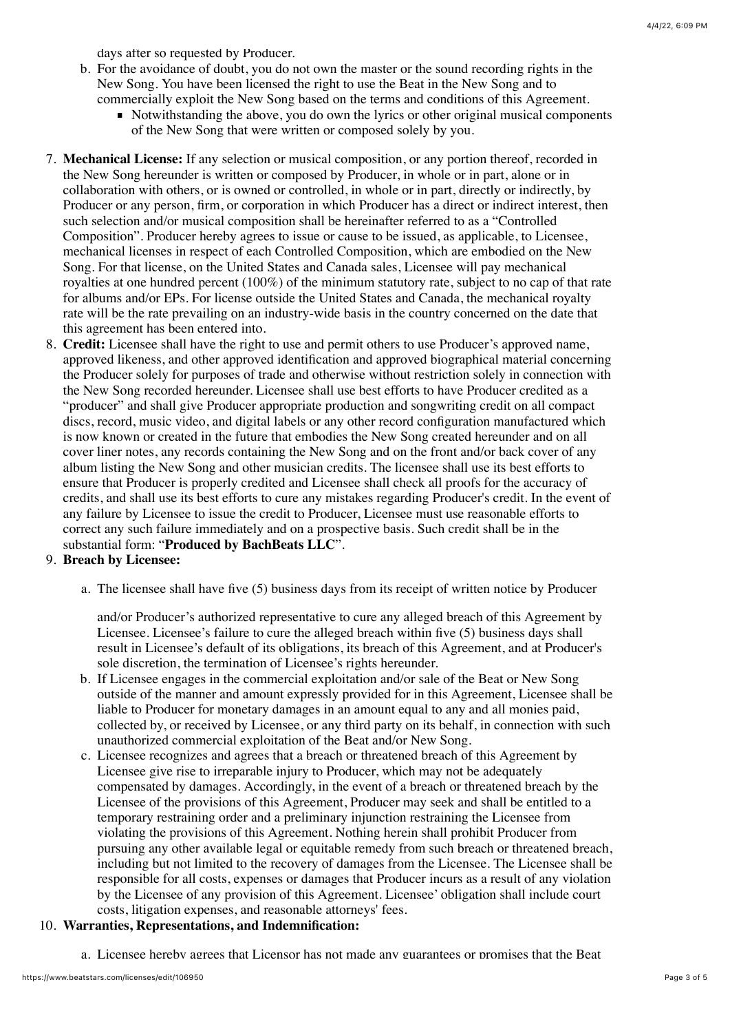days after so requested by Producer.

- b. For the avoidance of doubt, you do not own the master or the sound recording rights in the New Song. You have been licensed the right to use the Beat in the New Song and to commercially exploit the New Song based on the terms and conditions of this Agreement.
	- Notwithstanding the above, you do own the lyrics or other original musical components of the New Song that were written or composed solely by you.
- 7. **Mechanical License:** If any selection or musical composition, or any portion thereof, recorded in the New Song hereunder is written or composed by Producer, in whole or in part, alone or in collaboration with others, or is owned or controlled, in whole or in part, directly or indirectly, by Producer or any person, firm, or corporation in which Producer has a direct or indirect interest, then such selection and/or musical composition shall be hereinafter referred to as a "Controlled Composition". Producer hereby agrees to issue or cause to be issued, as applicable, to Licensee, mechanical licenses in respect of each Controlled Composition, which are embodied on the New Song. For that license, on the United States and Canada sales, Licensee will pay mechanical royalties at one hundred percent (100%) of the minimum statutory rate, subject to no cap of that rate for albums and/or EPs. For license outside the United States and Canada, the mechanical royalty rate will be the rate prevailing on an industry-wide basis in the country concerned on the date that this agreement has been entered into.
- 8. **Credit:** Licensee shall have the right to use and permit others to use Producer's approved name, approved likeness, and other approved identification and approved biographical material concerning the Producer solely for purposes of trade and otherwise without restriction solely in connection with the New Song recorded hereunder. Licensee shall use best efforts to have Producer credited as a "producer" and shall give Producer appropriate production and songwriting credit on all compact discs, record, music video, and digital labels or any other record configuration manufactured which is now known or created in the future that embodies the New Song created hereunder and on all cover liner notes, any records containing the New Song and on the front and/or back cover of any album listing the New Song and other musician credits. The licensee shall use its best efforts to ensure that Producer is properly credited and Licensee shall check all proofs for the accuracy of credits, and shall use its best efforts to cure any mistakes regarding Producer's credit. In the event of any failure by Licensee to issue the credit to Producer, Licensee must use reasonable efforts to correct any such failure immediately and on a prospective basis. Such credit shall be in the substantial form: "**Produced by BachBeats LLC**".

## 9. **Breach by Licensee:**

a. The licensee shall have five (5) business days from its receipt of written notice by Producer

and/or Producer's authorized representative to cure any alleged breach of this Agreement by Licensee. Licensee's failure to cure the alleged breach within five (5) business days shall result in Licensee's default of its obligations, its breach of this Agreement, and at Producer's sole discretion, the termination of Licensee's rights hereunder.

- b. If Licensee engages in the commercial exploitation and/or sale of the Beat or New Song outside of the manner and amount expressly provided for in this Agreement, Licensee shall be liable to Producer for monetary damages in an amount equal to any and all monies paid, collected by, or received by Licensee, or any third party on its behalf, in connection with such unauthorized commercial exploitation of the Beat and/or New Song.
- c. Licensee recognizes and agrees that a breach or threatened breach of this Agreement by Licensee give rise to irreparable injury to Producer, which may not be adequately compensated by damages. Accordingly, in the event of a breach or threatened breach by the Licensee of the provisions of this Agreement, Producer may seek and shall be entitled to a temporary restraining order and a preliminary injunction restraining the Licensee from violating the provisions of this Agreement. Nothing herein shall prohibit Producer from pursuing any other available legal or equitable remedy from such breach or threatened breach, including but not limited to the recovery of damages from the Licensee. The Licensee shall be responsible for all costs, expenses or damages that Producer incurs as a result of any violation by the Licensee of any provision of this Agreement. Licensee' obligation shall include court costs, litigation expenses, and reasonable attorneys' fees.

## 10. **Warranties, Representations, and Indemnification:**

a. Licensee hereby agrees that Licensor has not made any guarantees or promises that the Beat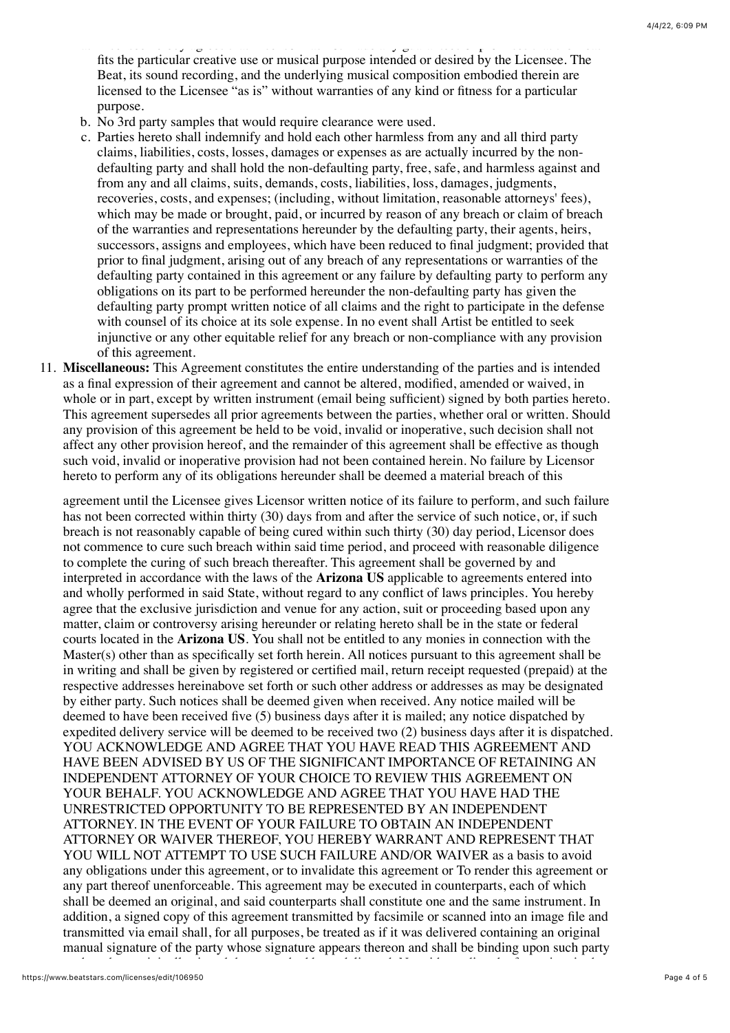a. Licensee hereby agrees that Licensor has not made any guarantees or promises that the Beat fits the particular creative use or musical purpose intended or desired by the Licensee. The Beat, its sound recording, and the underlying musical composition embodied therein are licensed to the Licensee "as is" without warranties of any kind or fitness for a particular purpose.

- b. No 3rd party samples that would require clearance were used.
- c. Parties hereto shall indemnify and hold each other harmless from any and all third party claims, liabilities, costs, losses, damages or expenses as are actually incurred by the nondefaulting party and shall hold the non-defaulting party, free, safe, and harmless against and from any and all claims, suits, demands, costs, liabilities, loss, damages, judgments, recoveries, costs, and expenses; (including, without limitation, reasonable attorneys' fees), which may be made or brought, paid, or incurred by reason of any breach or claim of breach of the warranties and representations hereunder by the defaulting party, their agents, heirs, successors, assigns and employees, which have been reduced to final judgment; provided that prior to final judgment, arising out of any breach of any representations or warranties of the defaulting party contained in this agreement or any failure by defaulting party to perform any obligations on its part to be performed hereunder the non-defaulting party has given the defaulting party prompt written notice of all claims and the right to participate in the defense with counsel of its choice at its sole expense. In no event shall Artist be entitled to seek injunctive or any other equitable relief for any breach or non-compliance with any provision of this agreement.
- 11. **Miscellaneous:** This Agreement constitutes the entire understanding of the parties and is intended as a final expression of their agreement and cannot be altered, modified, amended or waived, in whole or in part, except by written instrument (email being sufficient) signed by both parties hereto. This agreement supersedes all prior agreements between the parties, whether oral or written. Should any provision of this agreement be held to be void, invalid or inoperative, such decision shall not affect any other provision hereof, and the remainder of this agreement shall be effective as though such void, invalid or inoperative provision had not been contained herein. No failure by Licensor hereto to perform any of its obligations hereunder shall be deemed a material breach of this

agreement until the Licensee gives Licensor written notice of its failure to perform, and such failure has not been corrected within thirty (30) days from and after the service of such notice, or, if such breach is not reasonably capable of being cured within such thirty (30) day period, Licensor does not commence to cure such breach within said time period, and proceed with reasonable diligence to complete the curing of such breach thereafter. This agreement shall be governed by and interpreted in accordance with the laws of the **Arizona US** applicable to agreements entered into and wholly performed in said State, without regard to any conflict of laws principles. You hereby agree that the exclusive jurisdiction and venue for any action, suit or proceeding based upon any matter, claim or controversy arising hereunder or relating hereto shall be in the state or federal courts located in the **Arizona US**. You shall not be entitled to any monies in connection with the Master(s) other than as specifically set forth herein. All notices pursuant to this agreement shall be in writing and shall be given by registered or certified mail, return receipt requested (prepaid) at the respective addresses hereinabove set forth or such other address or addresses as may be designated by either party. Such notices shall be deemed given when received. Any notice mailed will be deemed to have been received five (5) business days after it is mailed; any notice dispatched by expedited delivery service will be deemed to be received two (2) business days after it is dispatched. YOU ACKNOWLEDGE AND AGREE THAT YOU HAVE READ THIS AGREEMENT AND HAVE BEEN ADVISED BY US OF THE SIGNIFICANT IMPORTANCE OF RETAINING AN INDEPENDENT ATTORNEY OF YOUR CHOICE TO REVIEW THIS AGREEMENT ON YOUR BEHALF. YOU ACKNOWLEDGE AND AGREE THAT YOU HAVE HAD THE UNRESTRICTED OPPORTUNITY TO BE REPRESENTED BY AN INDEPENDENT ATTORNEY. IN THE EVENT OF YOUR FAILURE TO OBTAIN AN INDEPENDENT ATTORNEY OR WAIVER THEREOF, YOU HEREBY WARRANT AND REPRESENT THAT YOU WILL NOT ATTEMPT TO USE SUCH FAILURE AND/OR WAIVER as a basis to avoid any obligations under this agreement, or to invalidate this agreement or To render this agreement or any part thereof unenforceable. This agreement may be executed in counterparts, each of which shall be deemed an original, and said counterparts shall constitute one and the same instrument. In addition, a signed copy of this agreement transmitted by facsimile or scanned into an image file and transmitted via email shall, for all purposes, be treated as if it was delivered containing an original manual signature of the party whose signature appears thereon and shall be binding upon such party

as though an originally signed document had been delivered. Notwithstanding the foregoing, in the